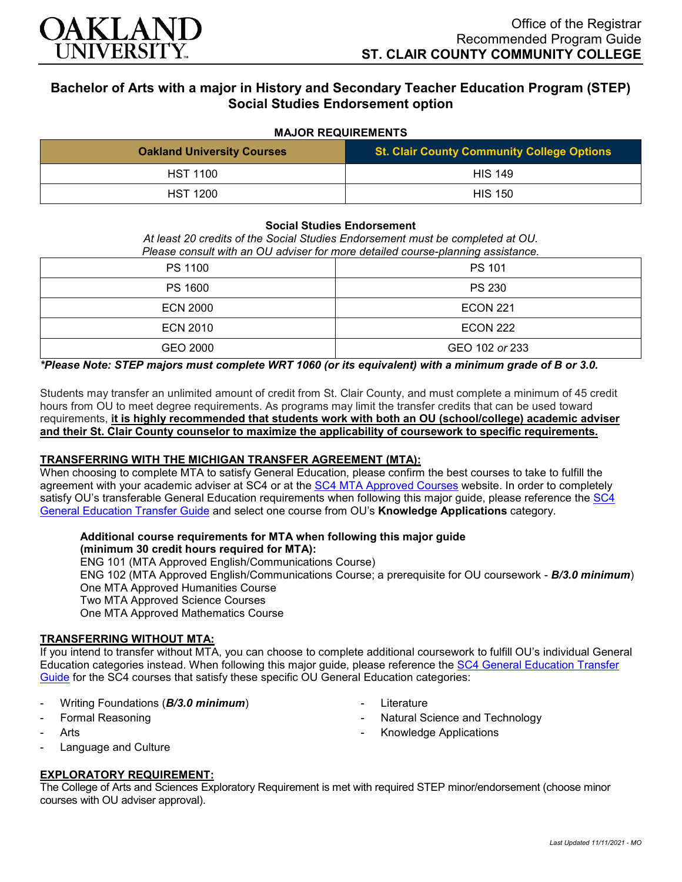

# **Bachelor of Arts with a major in History and Secondary Teacher Education Program (STEP) Social Studies Endorsement option**

#### **MAJOR REQUIREMENTS**

| <b>Oakland University Courses</b> | <b>St. Clair County Community College Options</b> |
|-----------------------------------|---------------------------------------------------|
| <b>HST 1100</b>                   | <b>HIS 149</b>                                    |
| <b>HST 1200</b>                   | <b>HIS 150</b>                                    |

#### **Social Studies Endorsement**

*At least 20 credits of the Social Studies Endorsement must be completed at OU. Please consult with an OU adviser for more detailed course-planning assistance.*

| PS 1100         | PS 101          |
|-----------------|-----------------|
| <b>PS 1600</b>  | <b>PS 230</b>   |
| <b>ECN 2000</b> | <b>ECON 221</b> |
| <b>ECN 2010</b> | <b>ECON 222</b> |
| GEO 2000        | GEO 102 or 233  |

*\*Please Note: STEP majors must complete WRT 1060 (or its equivalent) with a minimum grade of B or 3.0.*

Students may transfer an unlimited amount of credit from St. Clair County, and must complete a minimum of 45 credit hours from OU to meet degree requirements. As programs may limit the transfer credits that can be used toward requirements, **it is highly recommended that students work with both an OU (school/college) academic adviser and their St. Clair County counselor to maximize the applicability of coursework to specific requirements.**

# **TRANSFERRING WITH THE MICHIGAN TRANSFER AGREEMENT (MTA):**

When choosing to complete MTA to satisfy General Education, please confirm the best courses to take to fulfill the agreement with your academic adviser at SC4 or at the [SC4 MTA Approved Courses](https://sc4.edu/admissions/transferring-after-sc4/michigan-transfer-agreement/) website. In order to completely satisfy OU's transferable General Education requirements when following this major guide, please reference the [SC4](https://wwwp.oakland.edu/Assets/Oakland/program-guides/st-clair-county-community-college/university-general-education-requirements/SC4%20Gen%20Ed.pdf)  [General Education Transfer Guide](https://wwwp.oakland.edu/Assets/Oakland/program-guides/st-clair-county-community-college/university-general-education-requirements/SC4%20Gen%20Ed.pdf) and select one course from OU's **Knowledge Applications** category.

## **Additional course requirements for MTA when following this major guide (minimum 30 credit hours required for MTA):**

ENG 101 (MTA Approved English/Communications Course)

ENG 102 (MTA Approved English/Communications Course; a prerequisite for OU coursework - *B/3.0 minimum*) One MTA Approved Humanities Course

Two MTA Approved Science Courses

One MTA Approved Mathematics Course

# **TRANSFERRING WITHOUT MTA:**

If you intend to transfer without MTA, you can choose to complete additional coursework to fulfill OU's individual General Education categories instead. When following this major guide, please reference the [SC4 General Education Transfer](https://wwwp.oakland.edu/Assets/Oakland/program-guides/st-clair-county-community-college/university-general-education-requirements/SC4%20Gen%20Ed.pdf)  [Guide](https://wwwp.oakland.edu/Assets/Oakland/program-guides/st-clair-county-community-college/university-general-education-requirements/SC4%20Gen%20Ed.pdf) for the SC4 courses that satisfy these specific OU General Education categories:

- Writing Foundations (*B/3.0 minimum*)
- Formal Reasoning
- Arts
- Language and Culture

# **EXPLORATORY REQUIREMENT:**

The College of Arts and Sciences Exploratory Requirement is met with required STEP minor/endorsement (choose minor courses with OU adviser approval).

*Last Updated 11/11/2021 - MO*

- **Literature**
- Natural Science and Technology
- Knowledge Applications